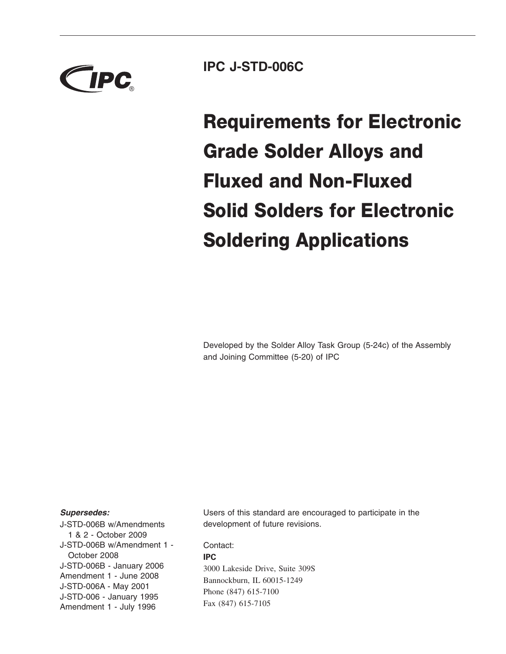

**IPC J-STD-006C**

**Requirements for Electronic Grade Solder Alloys and Fluxed and Non-Fluxed Solid Solders for Electronic Soldering Applications**

Developed by the Solder Alloy Task Group (5-24c) of the Assembly and Joining Committee (5-20) of IPC

#### *Supersedes:*

J-STD-006B w/Amendments 1&2- October 2009 J-STD-006B w/Amendment 1 - October 2008 J-STD-006B - January 2006 Amendment 1 - June 2008 J-STD-006A - May 2001 J-STD-006 - January 1995 Amendment 1 - July 1996

Users of this standard are encouraged to participate in the development of future revisions.

Contact: **IPC** 3000 Lakeside Drive, Suite 309S Bannockburn, IL 60015-1249 Phone (847) 615-7100 Fax (847) 615-7105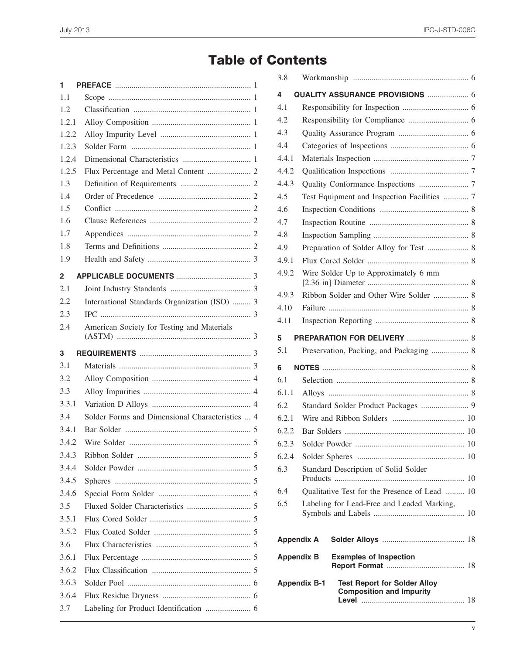# **Table of Contents**

| 1     |                                                 |  |  |  |
|-------|-------------------------------------------------|--|--|--|
| 1.1   |                                                 |  |  |  |
| 1.2   |                                                 |  |  |  |
| 1.2.1 |                                                 |  |  |  |
| 1.2.2 |                                                 |  |  |  |
| 1.2.3 |                                                 |  |  |  |
| 1.2.4 |                                                 |  |  |  |
| 1.2.5 |                                                 |  |  |  |
| 1.3   |                                                 |  |  |  |
| 1.4   |                                                 |  |  |  |
| 1.5   |                                                 |  |  |  |
| 1.6   |                                                 |  |  |  |
| 1.7   |                                                 |  |  |  |
| 1.8   |                                                 |  |  |  |
| 1.9   |                                                 |  |  |  |
| 2     |                                                 |  |  |  |
| 2.1   |                                                 |  |  |  |
| 2.2   | International Standards Organization (ISO)  3   |  |  |  |
| 2.3   |                                                 |  |  |  |
| 2.4   | American Society for Testing and Materials      |  |  |  |
| 3     |                                                 |  |  |  |
| 3.1   |                                                 |  |  |  |
| 3.2   |                                                 |  |  |  |
| 3.3   |                                                 |  |  |  |
| 3.3.1 |                                                 |  |  |  |
| 3.4   | Solder Forms and Dimensional Characteristics  4 |  |  |  |
| 3.4.1 |                                                 |  |  |  |
| 3.4.2 |                                                 |  |  |  |
| 3.4.3 |                                                 |  |  |  |
| 3.4.4 |                                                 |  |  |  |
| 3.4.5 |                                                 |  |  |  |
| 3.4.6 |                                                 |  |  |  |
| 3.5   |                                                 |  |  |  |
| 3.5.1 |                                                 |  |  |  |
| 3.5.2 |                                                 |  |  |  |
| 3.6   |                                                 |  |  |  |
| 3.6.1 |                                                 |  |  |  |
| 3.6.2 |                                                 |  |  |  |
| 3.6.3 |                                                 |  |  |  |
| 3.6.4 |                                                 |  |  |  |
| 3.7   |                                                 |  |  |  |
|       |                                                 |  |  |  |

| 3.8                                                |                                                                                               |  |  |  |
|----------------------------------------------------|-----------------------------------------------------------------------------------------------|--|--|--|
| 4                                                  | <b>QUALITY ASSURANCE PROVISIONS  6</b>                                                        |  |  |  |
| 4.1                                                |                                                                                               |  |  |  |
| 4.2                                                |                                                                                               |  |  |  |
| 4.3                                                |                                                                                               |  |  |  |
| 4.4                                                |                                                                                               |  |  |  |
| 4.4.1                                              |                                                                                               |  |  |  |
| 4.4.2                                              |                                                                                               |  |  |  |
| 4.4.3                                              |                                                                                               |  |  |  |
| 4.5                                                | Test Equipment and Inspection Facilities  7                                                   |  |  |  |
| 4.6                                                |                                                                                               |  |  |  |
| 4.7                                                |                                                                                               |  |  |  |
| 4.8                                                |                                                                                               |  |  |  |
| 4.9                                                | Preparation of Solder Alloy for Test  8                                                       |  |  |  |
| 4.9.1                                              |                                                                                               |  |  |  |
| 4.9.2                                              | Wire Solder Up to Approximately 6 mm                                                          |  |  |  |
| 4.9.3                                              | Ribbon Solder and Other Wire Solder  8                                                        |  |  |  |
| 4.10                                               |                                                                                               |  |  |  |
| 4.11                                               |                                                                                               |  |  |  |
| 5                                                  |                                                                                               |  |  |  |
| 5.1                                                | Preservation, Packing, and Packaging  8                                                       |  |  |  |
| 6                                                  |                                                                                               |  |  |  |
| 6.1                                                |                                                                                               |  |  |  |
| 6.1.1                                              |                                                                                               |  |  |  |
| 6.2                                                | Standard Solder Product Packages  9                                                           |  |  |  |
| 6.2.1                                              |                                                                                               |  |  |  |
| 6.2.2                                              |                                                                                               |  |  |  |
| 6.2.3                                              |                                                                                               |  |  |  |
| 6.2.4                                              |                                                                                               |  |  |  |
| 6.3                                                | Standard Description of Solid Solder                                                          |  |  |  |
| 6.4                                                | Qualitative Test for the Presence of Lead  10                                                 |  |  |  |
| 6.5                                                | Labeling for Lead-Free and Leaded Marking,                                                    |  |  |  |
| <b>Appendix A</b>                                  |                                                                                               |  |  |  |
| <b>Appendix B</b><br><b>Examples of Inspection</b> |                                                                                               |  |  |  |
|                                                    | <b>Test Report for Solder Alloy</b><br><b>Appendix B-1</b><br><b>Composition and Impurity</b> |  |  |  |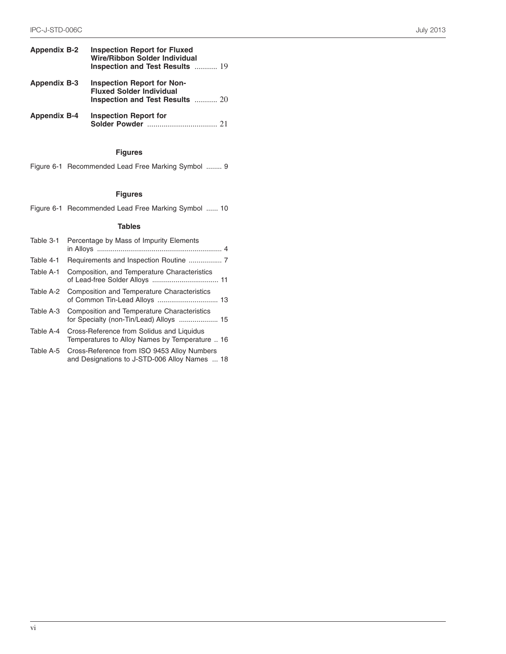| <b>Appendix B-2</b> | <b>Inspection Report for Fluxed</b><br><b>Wire/Ribbon Solder Individual</b><br>Inspection and Test Results  19 |
|---------------------|----------------------------------------------------------------------------------------------------------------|
| <b>Appendix B-3</b> | <b>Inspection Report for Non-</b><br><b>Fluxed Solder Individual</b><br>Inspection and Test Results  20        |
| <b>Appendix B-4</b> | <b>Inspection Report for</b>                                                                                   |

# **Figures**

|  | Figure 6-1 Recommended Lead Free Marking Symbol  9 |  |  |  |  |
|--|----------------------------------------------------|--|--|--|--|
|--|----------------------------------------------------|--|--|--|--|

## **Figures**

| Figure 6-1 Recommended Lead Free Marking Symbol  10 |  |  |  |
|-----------------------------------------------------|--|--|--|
|                                                     |  |  |  |

### **Tables**

| Table 3-1 | Percentage by Mass of Impurity Elements                                                                |
|-----------|--------------------------------------------------------------------------------------------------------|
| Table 4-1 |                                                                                                        |
| Table A-1 | Composition, and Temperature Characteristics                                                           |
| Table A-2 | <b>Composition and Temperature Characteristics</b>                                                     |
|           | Table A-3 Composition and Temperature Characteristics<br>for Specialty (non-Tin/Lead) Alloys  15       |
| Table A-4 | Cross-Reference from Solidus and Liquidus<br>Temperatures to Alloy Names by Temperature  16            |
|           | Table A-5 Cross-Reference from ISO 9453 Alloy Numbers<br>and Designations to J-STD-006 Alloy Names  18 |